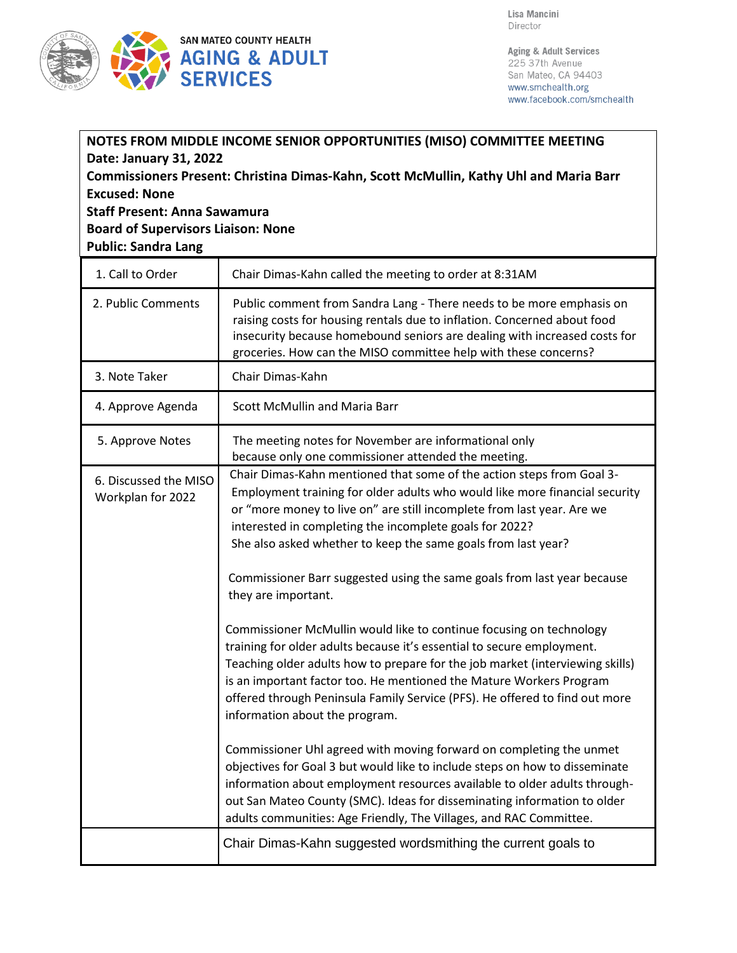

Aging & Adult Services 225 37th Avenue San Mateo, CA 94403 www.smchealth.org www.facebook.com/smchealth

| NOTES FROM MIDDLE INCOME SENIOR OPPORTUNITIES (MISO) COMMITTEE MEETING<br>Date: January 31, 2022<br>Commissioners Present: Christina Dimas-Kahn, Scott McMullin, Kathy Uhl and Maria Barr<br><b>Excused: None</b><br><b>Staff Present: Anna Sawamura</b><br><b>Board of Supervisors Liaison: None</b><br><b>Public: Sandra Lang</b> |                                                                                                                                                                                                                                                                                                                                                                                                                                                                                                                                                                                                                                                                                                                                                                                                             |  |
|-------------------------------------------------------------------------------------------------------------------------------------------------------------------------------------------------------------------------------------------------------------------------------------------------------------------------------------|-------------------------------------------------------------------------------------------------------------------------------------------------------------------------------------------------------------------------------------------------------------------------------------------------------------------------------------------------------------------------------------------------------------------------------------------------------------------------------------------------------------------------------------------------------------------------------------------------------------------------------------------------------------------------------------------------------------------------------------------------------------------------------------------------------------|--|
| 1. Call to Order                                                                                                                                                                                                                                                                                                                    | Chair Dimas-Kahn called the meeting to order at 8:31AM                                                                                                                                                                                                                                                                                                                                                                                                                                                                                                                                                                                                                                                                                                                                                      |  |
| 2. Public Comments                                                                                                                                                                                                                                                                                                                  | Public comment from Sandra Lang - There needs to be more emphasis on<br>raising costs for housing rentals due to inflation. Concerned about food<br>insecurity because homebound seniors are dealing with increased costs for<br>groceries. How can the MISO committee help with these concerns?                                                                                                                                                                                                                                                                                                                                                                                                                                                                                                            |  |
| 3. Note Taker                                                                                                                                                                                                                                                                                                                       | Chair Dimas-Kahn                                                                                                                                                                                                                                                                                                                                                                                                                                                                                                                                                                                                                                                                                                                                                                                            |  |
| 4. Approve Agenda                                                                                                                                                                                                                                                                                                                   | <b>Scott McMullin and Maria Barr</b>                                                                                                                                                                                                                                                                                                                                                                                                                                                                                                                                                                                                                                                                                                                                                                        |  |
| 5. Approve Notes                                                                                                                                                                                                                                                                                                                    | The meeting notes for November are informational only<br>because only one commissioner attended the meeting.                                                                                                                                                                                                                                                                                                                                                                                                                                                                                                                                                                                                                                                                                                |  |
| 6. Discussed the MISO<br>Workplan for 2022                                                                                                                                                                                                                                                                                          | Chair Dimas-Kahn mentioned that some of the action steps from Goal 3-<br>Employment training for older adults who would like more financial security<br>or "more money to live on" are still incomplete from last year. Are we<br>interested in completing the incomplete goals for 2022?<br>She also asked whether to keep the same goals from last year?<br>Commissioner Barr suggested using the same goals from last year because<br>they are important.                                                                                                                                                                                                                                                                                                                                                |  |
|                                                                                                                                                                                                                                                                                                                                     | Commissioner McMullin would like to continue focusing on technology<br>training for older adults because it's essential to secure employment.<br>Teaching older adults how to prepare for the job market (interviewing skills)<br>is an important factor too. He mentioned the Mature Workers Program<br>offered through Peninsula Family Service (PFS). He offered to find out more<br>information about the program.<br>Commissioner Uhl agreed with moving forward on completing the unmet<br>objectives for Goal 3 but would like to include steps on how to disseminate<br>information about employment resources available to older adults through-<br>out San Mateo County (SMC). Ideas for disseminating information to older<br>adults communities: Age Friendly, The Villages, and RAC Committee. |  |
|                                                                                                                                                                                                                                                                                                                                     | Chair Dimas-Kahn suggested wordsmithing the current goals to                                                                                                                                                                                                                                                                                                                                                                                                                                                                                                                                                                                                                                                                                                                                                |  |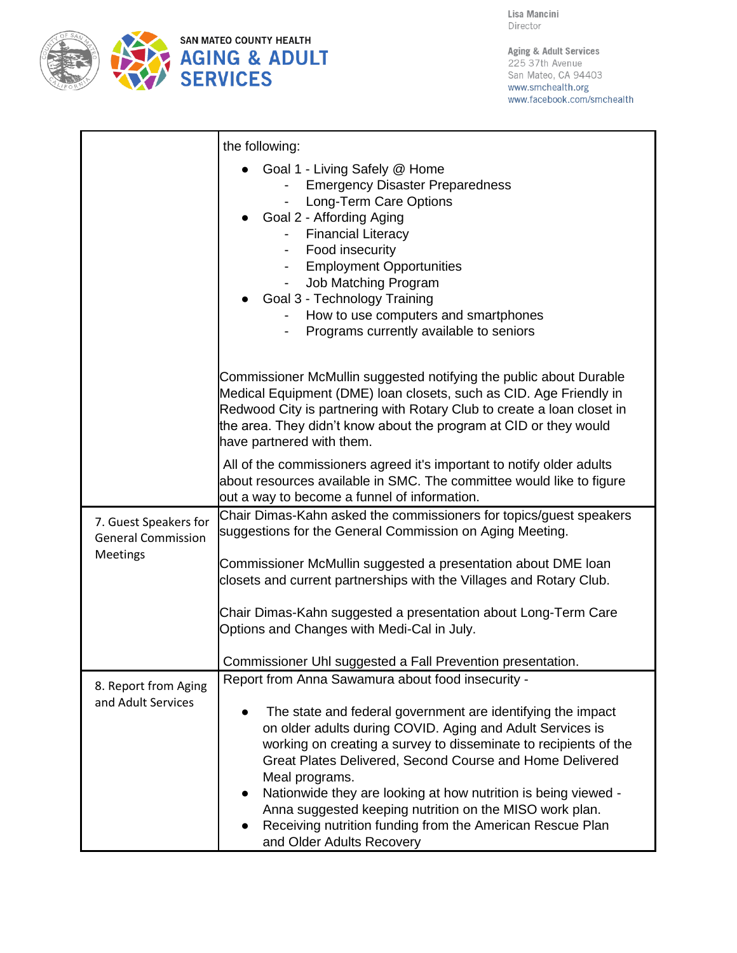

Aging & Adult Services 225 37th Avenue San Mateo, CA 94403 www.smchealth.org www.facebook.com/smchealth

|                                                                | the following:                                                                                                                                                                                                                                                                                                                                                                                                                                                                                                                                         |
|----------------------------------------------------------------|--------------------------------------------------------------------------------------------------------------------------------------------------------------------------------------------------------------------------------------------------------------------------------------------------------------------------------------------------------------------------------------------------------------------------------------------------------------------------------------------------------------------------------------------------------|
|                                                                | • Goal 1 - Living Safely @ Home<br><b>Emergency Disaster Preparedness</b><br>Long-Term Care Options<br>Goal 2 - Affording Aging<br>- Financial Literacy<br>- Food insecurity<br>- Employment Opportunities<br>Job Matching Program<br>$\overline{\phantom{a}}$<br>• Goal 3 - Technology Training<br>How to use computers and smartphones<br>Programs currently available to seniors                                                                                                                                                                    |
|                                                                | Commissioner McMullin suggested notifying the public about Durable<br>Medical Equipment (DME) loan closets, such as CID. Age Friendly in<br>Redwood City is partnering with Rotary Club to create a loan closet in<br>the area. They didn't know about the program at CID or they would<br>have partnered with them.                                                                                                                                                                                                                                   |
|                                                                | All of the commissioners agreed it's important to notify older adults<br>about resources available in SMC. The committee would like to figure<br>out a way to become a funnel of information.                                                                                                                                                                                                                                                                                                                                                          |
| 7. Guest Speakers for<br><b>General Commission</b><br>Meetings | Chair Dimas-Kahn asked the commissioners for topics/guest speakers<br>suggestions for the General Commission on Aging Meeting.                                                                                                                                                                                                                                                                                                                                                                                                                         |
|                                                                | Commissioner McMullin suggested a presentation about DME Ioan<br>closets and current partnerships with the Villages and Rotary Club.                                                                                                                                                                                                                                                                                                                                                                                                                   |
|                                                                | Chair Dimas-Kahn suggested a presentation about Long-Term Care<br>Options and Changes with Medi-Cal in July.                                                                                                                                                                                                                                                                                                                                                                                                                                           |
|                                                                | Commissioner Uhl suggested a Fall Prevention presentation.                                                                                                                                                                                                                                                                                                                                                                                                                                                                                             |
| 8. Report from Aging<br>and Adult Services                     | Report from Anna Sawamura about food insecurity -<br>The state and federal government are identifying the impact<br>on older adults during COVID. Aging and Adult Services is<br>working on creating a survey to disseminate to recipients of the<br>Great Plates Delivered, Second Course and Home Delivered<br>Meal programs.<br>Nationwide they are looking at how nutrition is being viewed -<br>Anna suggested keeping nutrition on the MISO work plan.<br>Receiving nutrition funding from the American Rescue Plan<br>and Older Adults Recovery |